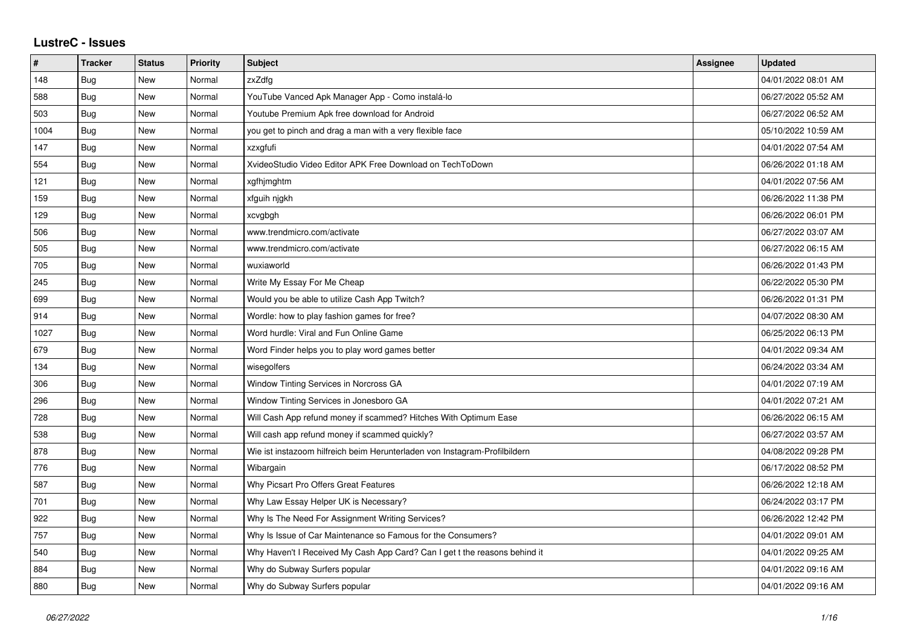## **LustreC - Issues**

| $\pmb{\#}$ | <b>Tracker</b> | <b>Status</b> | <b>Priority</b> | <b>Subject</b>                                                             | Assignee | <b>Updated</b>      |
|------------|----------------|---------------|-----------------|----------------------------------------------------------------------------|----------|---------------------|
| 148        | <b>Bug</b>     | New           | Normal          | zxZdfg                                                                     |          | 04/01/2022 08:01 AM |
| 588        | <b>Bug</b>     | <b>New</b>    | Normal          | YouTube Vanced Apk Manager App - Como instalá-lo                           |          | 06/27/2022 05:52 AM |
| 503        | Bug            | New           | Normal          | Youtube Premium Apk free download for Android                              |          | 06/27/2022 06:52 AM |
| 1004       | Bug            | <b>New</b>    | Normal          | you get to pinch and drag a man with a very flexible face                  |          | 05/10/2022 10:59 AM |
| 147        | <b>Bug</b>     | <b>New</b>    | Normal          | xzxgfufi                                                                   |          | 04/01/2022 07:54 AM |
| 554        | Bug            | New           | Normal          | XvideoStudio Video Editor APK Free Download on TechToDown                  |          | 06/26/2022 01:18 AM |
| 121        | <b>Bug</b>     | <b>New</b>    | Normal          | xgfhjmghtm                                                                 |          | 04/01/2022 07:56 AM |
| 159        | Bug            | <b>New</b>    | Normal          | xfguih njgkh                                                               |          | 06/26/2022 11:38 PM |
| 129        | Bug            | New           | Normal          | xcvgbgh                                                                    |          | 06/26/2022 06:01 PM |
| 506        | Bug            | New           | Normal          | www.trendmicro.com/activate                                                |          | 06/27/2022 03:07 AM |
| 505        | <b>Bug</b>     | New           | Normal          | www.trendmicro.com/activate                                                |          | 06/27/2022 06:15 AM |
| 705        | Bug            | New           | Normal          | wuxiaworld                                                                 |          | 06/26/2022 01:43 PM |
| 245        | Bug            | New           | Normal          | Write My Essay For Me Cheap                                                |          | 06/22/2022 05:30 PM |
| 699        | Bug            | New           | Normal          | Would you be able to utilize Cash App Twitch?                              |          | 06/26/2022 01:31 PM |
| 914        | Bug            | <b>New</b>    | Normal          | Wordle: how to play fashion games for free?                                |          | 04/07/2022 08:30 AM |
| 1027       | Bug            | New           | Normal          | Word hurdle: Viral and Fun Online Game                                     |          | 06/25/2022 06:13 PM |
| 679        | <b>Bug</b>     | New           | Normal          | Word Finder helps you to play word games better                            |          | 04/01/2022 09:34 AM |
| 134        | Bug            | <b>New</b>    | Normal          | wisegolfers                                                                |          | 06/24/2022 03:34 AM |
| 306        | Bug            | New           | Normal          | Window Tinting Services in Norcross GA                                     |          | 04/01/2022 07:19 AM |
| 296        | <b>Bug</b>     | New           | Normal          | Window Tinting Services in Jonesboro GA                                    |          | 04/01/2022 07:21 AM |
| 728        | Bug            | <b>New</b>    | Normal          | Will Cash App refund money if scammed? Hitches With Optimum Ease           |          | 06/26/2022 06:15 AM |
| 538        | Bug            | New           | Normal          | Will cash app refund money if scammed quickly?                             |          | 06/27/2022 03:57 AM |
| 878        | <b>Bug</b>     | New           | Normal          | Wie ist instazoom hilfreich beim Herunterladen von Instagram-Profilbildern |          | 04/08/2022 09:28 PM |
| 776        | Bug            | New           | Normal          | Wibargain                                                                  |          | 06/17/2022 08:52 PM |
| 587        | Bug            | New           | Normal          | Why Picsart Pro Offers Great Features                                      |          | 06/26/2022 12:18 AM |
| 701        | <b>Bug</b>     | New           | Normal          | Why Law Essay Helper UK is Necessary?                                      |          | 06/24/2022 03:17 PM |
| 922        | Bug            | New           | Normal          | Why Is The Need For Assignment Writing Services?                           |          | 06/26/2022 12:42 PM |
| 757        | Bug            | New           | Normal          | Why Is Issue of Car Maintenance so Famous for the Consumers?               |          | 04/01/2022 09:01 AM |
| 540        | Bug            | <b>New</b>    | Normal          | Why Haven't I Received My Cash App Card? Can I get t the reasons behind it |          | 04/01/2022 09:25 AM |
| 884        | Bug            | New           | Normal          | Why do Subway Surfers popular                                              |          | 04/01/2022 09:16 AM |
| 880        | Bug            | New           | Normal          | Why do Subway Surfers popular                                              |          | 04/01/2022 09:16 AM |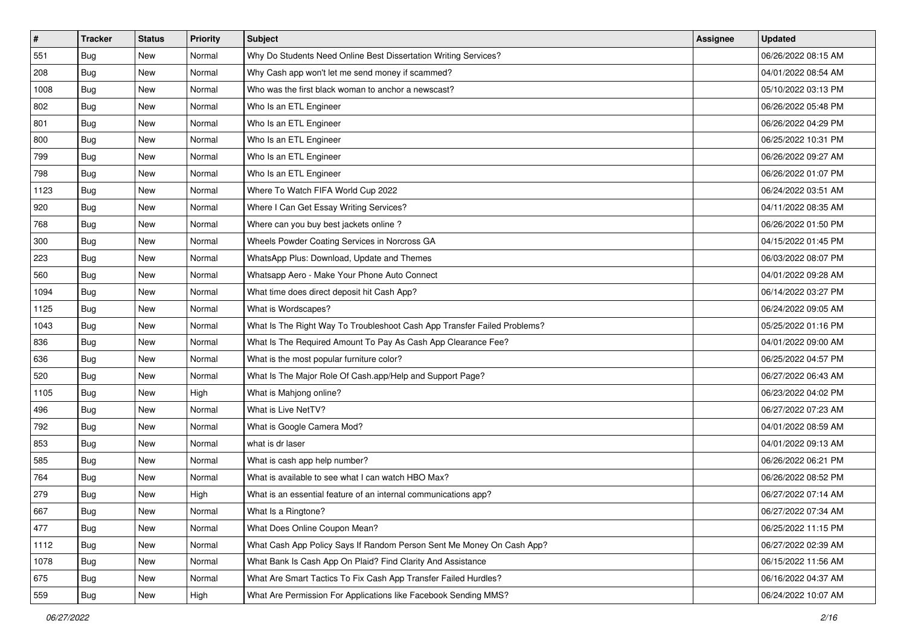| $\vert$ # | <b>Tracker</b> | <b>Status</b> | <b>Priority</b> | Subject                                                                  | <b>Assignee</b> | <b>Updated</b>      |
|-----------|----------------|---------------|-----------------|--------------------------------------------------------------------------|-----------------|---------------------|
| 551       | <b>Bug</b>     | New           | Normal          | Why Do Students Need Online Best Dissertation Writing Services?          |                 | 06/26/2022 08:15 AM |
| 208       | Bug            | New           | Normal          | Why Cash app won't let me send money if scammed?                         |                 | 04/01/2022 08:54 AM |
| 1008      | Bug            | New           | Normal          | Who was the first black woman to anchor a newscast?                      |                 | 05/10/2022 03:13 PM |
| 802       | <b>Bug</b>     | New           | Normal          | Who Is an ETL Engineer                                                   |                 | 06/26/2022 05:48 PM |
| 801       | <b>Bug</b>     | <b>New</b>    | Normal          | Who Is an ETL Engineer                                                   |                 | 06/26/2022 04:29 PM |
| 800       | <b>Bug</b>     | New           | Normal          | Who Is an ETL Engineer                                                   |                 | 06/25/2022 10:31 PM |
| 799       | Bug            | New           | Normal          | Who Is an ETL Engineer                                                   |                 | 06/26/2022 09:27 AM |
| 798       | Bug            | New           | Normal          | Who Is an ETL Engineer                                                   |                 | 06/26/2022 01:07 PM |
| 1123      | <b>Bug</b>     | New           | Normal          | Where To Watch FIFA World Cup 2022                                       |                 | 06/24/2022 03:51 AM |
| 920       | Bug            | New           | Normal          | Where I Can Get Essay Writing Services?                                  |                 | 04/11/2022 08:35 AM |
| 768       | <b>Bug</b>     | New           | Normal          | Where can you buy best jackets online?                                   |                 | 06/26/2022 01:50 PM |
| 300       | Bug            | New           | Normal          | Wheels Powder Coating Services in Norcross GA                            |                 | 04/15/2022 01:45 PM |
| 223       | Bug            | New           | Normal          | WhatsApp Plus: Download, Update and Themes                               |                 | 06/03/2022 08:07 PM |
| 560       | <b>Bug</b>     | New           | Normal          | Whatsapp Aero - Make Your Phone Auto Connect                             |                 | 04/01/2022 09:28 AM |
| 1094      | <b>Bug</b>     | New           | Normal          | What time does direct deposit hit Cash App?                              |                 | 06/14/2022 03:27 PM |
| 1125      | Bug            | New           | Normal          | What is Wordscapes?                                                      |                 | 06/24/2022 09:05 AM |
| 1043      | <b>Bug</b>     | New           | Normal          | What Is The Right Way To Troubleshoot Cash App Transfer Failed Problems? |                 | 05/25/2022 01:16 PM |
| 836       | Bug            | New           | Normal          | What Is The Required Amount To Pay As Cash App Clearance Fee?            |                 | 04/01/2022 09:00 AM |
| 636       | <b>Bug</b>     | New           | Normal          | What is the most popular furniture color?                                |                 | 06/25/2022 04:57 PM |
| 520       | <b>Bug</b>     | New           | Normal          | What Is The Major Role Of Cash.app/Help and Support Page?                |                 | 06/27/2022 06:43 AM |
| 1105      | <b>Bug</b>     | New           | High            | What is Mahjong online?                                                  |                 | 06/23/2022 04:02 PM |
| 496       | <b>Bug</b>     | New           | Normal          | What is Live NetTV?                                                      |                 | 06/27/2022 07:23 AM |
| 792       | Bug            | New           | Normal          | What is Google Camera Mod?                                               |                 | 04/01/2022 08:59 AM |
| 853       | <b>Bug</b>     | New           | Normal          | what is dr laser                                                         |                 | 04/01/2022 09:13 AM |
| 585       | Bug            | New           | Normal          | What is cash app help number?                                            |                 | 06/26/2022 06:21 PM |
| 764       | Bug            | New           | Normal          | What is available to see what I can watch HBO Max?                       |                 | 06/26/2022 08:52 PM |
| 279       | <b>Bug</b>     | New           | High            | What is an essential feature of an internal communications app?          |                 | 06/27/2022 07:14 AM |
| 667       | <b>Bug</b>     | New           | Normal          | What Is a Ringtone?                                                      |                 | 06/27/2022 07:34 AM |
| 477       | Bug            | New           | Normal          | What Does Online Coupon Mean?                                            |                 | 06/25/2022 11:15 PM |
| 1112      | Bug            | New           | Normal          | What Cash App Policy Says If Random Person Sent Me Money On Cash App?    |                 | 06/27/2022 02:39 AM |
| 1078      | Bug            | New           | Normal          | What Bank Is Cash App On Plaid? Find Clarity And Assistance              |                 | 06/15/2022 11:56 AM |
| 675       | <b>Bug</b>     | New           | Normal          | What Are Smart Tactics To Fix Cash App Transfer Failed Hurdles?          |                 | 06/16/2022 04:37 AM |
| 559       | Bug            | New           | High            | What Are Permission For Applications like Facebook Sending MMS?          |                 | 06/24/2022 10:07 AM |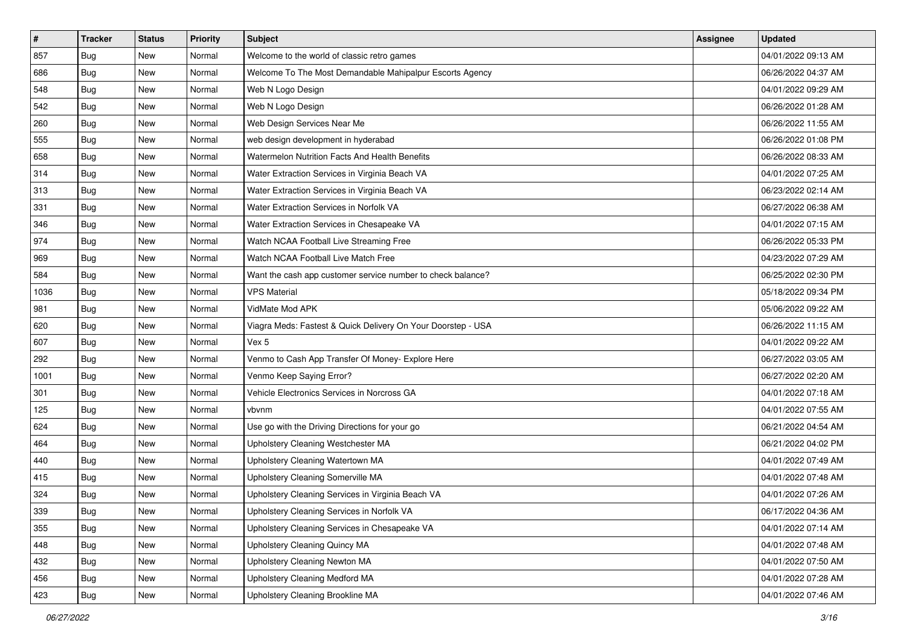| $\vert$ # | <b>Tracker</b> | <b>Status</b> | <b>Priority</b> | Subject                                                      | Assignee | <b>Updated</b>      |
|-----------|----------------|---------------|-----------------|--------------------------------------------------------------|----------|---------------------|
| 857       | <b>Bug</b>     | New           | Normal          | Welcome to the world of classic retro games                  |          | 04/01/2022 09:13 AM |
| 686       | Bug            | New           | Normal          | Welcome To The Most Demandable Mahipalpur Escorts Agency     |          | 06/26/2022 04:37 AM |
| 548       | Bug            | New           | Normal          | Web N Logo Design                                            |          | 04/01/2022 09:29 AM |
| 542       | <b>Bug</b>     | New           | Normal          | Web N Logo Design                                            |          | 06/26/2022 01:28 AM |
| 260       | Bug            | <b>New</b>    | Normal          | Web Design Services Near Me                                  |          | 06/26/2022 11:55 AM |
| 555       | <b>Bug</b>     | New           | Normal          | web design development in hyderabad                          |          | 06/26/2022 01:08 PM |
| 658       | Bug            | New           | Normal          | Watermelon Nutrition Facts And Health Benefits               |          | 06/26/2022 08:33 AM |
| 314       | <b>Bug</b>     | New           | Normal          | Water Extraction Services in Virginia Beach VA               |          | 04/01/2022 07:25 AM |
| 313       | Bug            | New           | Normal          | Water Extraction Services in Virginia Beach VA               |          | 06/23/2022 02:14 AM |
| 331       | Bug            | New           | Normal          | Water Extraction Services in Norfolk VA                      |          | 06/27/2022 06:38 AM |
| 346       | Bug            | New           | Normal          | Water Extraction Services in Chesapeake VA                   |          | 04/01/2022 07:15 AM |
| 974       | Bug            | New           | Normal          | Watch NCAA Football Live Streaming Free                      |          | 06/26/2022 05:33 PM |
| 969       | Bug            | New           | Normal          | Watch NCAA Football Live Match Free                          |          | 04/23/2022 07:29 AM |
| 584       | <b>Bug</b>     | New           | Normal          | Want the cash app customer service number to check balance?  |          | 06/25/2022 02:30 PM |
| 1036      | Bug            | New           | Normal          | <b>VPS Material</b>                                          |          | 05/18/2022 09:34 PM |
| 981       | Bug            | New           | Normal          | VidMate Mod APK                                              |          | 05/06/2022 09:22 AM |
| 620       | <b>Bug</b>     | New           | Normal          | Viagra Meds: Fastest & Quick Delivery On Your Doorstep - USA |          | 06/26/2022 11:15 AM |
| 607       | Bug            | <b>New</b>    | Normal          | Vex 5                                                        |          | 04/01/2022 09:22 AM |
| 292       | <b>Bug</b>     | New           | Normal          | Venmo to Cash App Transfer Of Money- Explore Here            |          | 06/27/2022 03:05 AM |
| 1001      | <b>Bug</b>     | New           | Normal          | Venmo Keep Saying Error?                                     |          | 06/27/2022 02:20 AM |
| 301       | <b>Bug</b>     | New           | Normal          | Vehicle Electronics Services in Norcross GA                  |          | 04/01/2022 07:18 AM |
| 125       | Bug            | New           | Normal          | vbvnm                                                        |          | 04/01/2022 07:55 AM |
| 624       | Bug            | <b>New</b>    | Normal          | Use go with the Driving Directions for your go               |          | 06/21/2022 04:54 AM |
| 464       | <b>Bug</b>     | New           | Normal          | Upholstery Cleaning Westchester MA                           |          | 06/21/2022 04:02 PM |
| 440       | Bug            | New           | Normal          | Upholstery Cleaning Watertown MA                             |          | 04/01/2022 07:49 AM |
| 415       | <b>Bug</b>     | New           | Normal          | <b>Upholstery Cleaning Somerville MA</b>                     |          | 04/01/2022 07:48 AM |
| 324       | <b>Bug</b>     | New           | Normal          | Upholstery Cleaning Services in Virginia Beach VA            |          | 04/01/2022 07:26 AM |
| 339       | I Bug          | New           | Normal          | Upholstery Cleaning Services in Norfolk VA                   |          | 06/17/2022 04:36 AM |
| 355       | <b>Bug</b>     | New           | Normal          | Upholstery Cleaning Services in Chesapeake VA                |          | 04/01/2022 07:14 AM |
| 448       | <b>Bug</b>     | New           | Normal          | Upholstery Cleaning Quincy MA                                |          | 04/01/2022 07:48 AM |
| 432       | <b>Bug</b>     | New           | Normal          | Upholstery Cleaning Newton MA                                |          | 04/01/2022 07:50 AM |
| 456       | Bug            | New           | Normal          | Upholstery Cleaning Medford MA                               |          | 04/01/2022 07:28 AM |
| 423       | <b>Bug</b>     | New           | Normal          | Upholstery Cleaning Brookline MA                             |          | 04/01/2022 07:46 AM |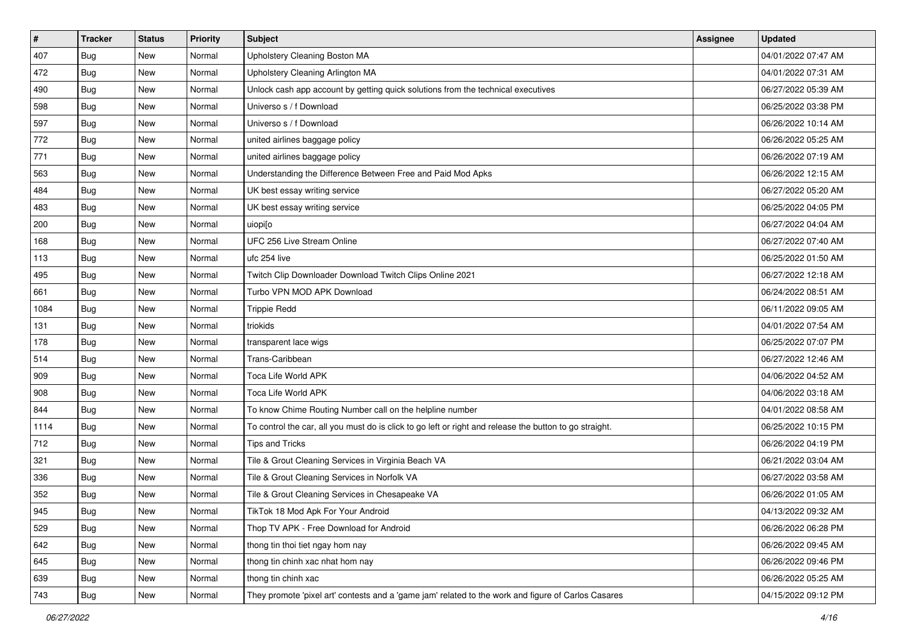| $\vert$ # | <b>Tracker</b> | <b>Status</b> | <b>Priority</b> | Subject                                                                                                 | Assignee | <b>Updated</b>      |
|-----------|----------------|---------------|-----------------|---------------------------------------------------------------------------------------------------------|----------|---------------------|
| 407       | Bug            | New           | Normal          | Upholstery Cleaning Boston MA                                                                           |          | 04/01/2022 07:47 AM |
| 472       | <b>Bug</b>     | New           | Normal          | Upholstery Cleaning Arlington MA                                                                        |          | 04/01/2022 07:31 AM |
| 490       | Bug            | New           | Normal          | Unlock cash app account by getting quick solutions from the technical executives                        |          | 06/27/2022 05:39 AM |
| 598       | <b>Bug</b>     | <b>New</b>    | Normal          | Universo s / f Download                                                                                 |          | 06/25/2022 03:38 PM |
| 597       | <b>Bug</b>     | New           | Normal          | Universo s / f Download                                                                                 |          | 06/26/2022 10:14 AM |
| 772       | Bug            | New           | Normal          | united airlines baggage policy                                                                          |          | 06/26/2022 05:25 AM |
| 771       | Bug            | <b>New</b>    | Normal          | united airlines baggage policy                                                                          |          | 06/26/2022 07:19 AM |
| 563       | Bug            | New           | Normal          | Understanding the Difference Between Free and Paid Mod Apks                                             |          | 06/26/2022 12:15 AM |
| 484       | <b>Bug</b>     | New           | Normal          | UK best essay writing service                                                                           |          | 06/27/2022 05:20 AM |
| 483       | Bug            | New           | Normal          | UK best essay writing service                                                                           |          | 06/25/2022 04:05 PM |
| 200       | <b>Bug</b>     | New           | Normal          | uiopi[o                                                                                                 |          | 06/27/2022 04:04 AM |
| 168       | <b>Bug</b>     | New           | Normal          | UFC 256 Live Stream Online                                                                              |          | 06/27/2022 07:40 AM |
| 113       | Bug            | New           | Normal          | ufc 254 live                                                                                            |          | 06/25/2022 01:50 AM |
| 495       | Bug            | New           | Normal          | Twitch Clip Downloader Download Twitch Clips Online 2021                                                |          | 06/27/2022 12:18 AM |
| 661       | Bug            | <b>New</b>    | Normal          | Turbo VPN MOD APK Download                                                                              |          | 06/24/2022 08:51 AM |
| 1084      | Bug            | New           | Normal          | <b>Trippie Redd</b>                                                                                     |          | 06/11/2022 09:05 AM |
| 131       | <b>Bug</b>     | <b>New</b>    | Normal          | triokids                                                                                                |          | 04/01/2022 07:54 AM |
| 178       | Bug            | New           | Normal          | transparent lace wigs                                                                                   |          | 06/25/2022 07:07 PM |
| 514       | Bug            | New           | Normal          | Trans-Caribbean                                                                                         |          | 06/27/2022 12:46 AM |
| 909       | <b>Bug</b>     | New           | Normal          | Toca Life World APK                                                                                     |          | 04/06/2022 04:52 AM |
| 908       | <b>Bug</b>     | New           | Normal          | Toca Life World APK                                                                                     |          | 04/06/2022 03:18 AM |
| 844       | <b>Bug</b>     | <b>New</b>    | Normal          | To know Chime Routing Number call on the helpline number                                                |          | 04/01/2022 08:58 AM |
| 1114      | Bug            | New           | Normal          | To control the car, all you must do is click to go left or right and release the button to go straight. |          | 06/25/2022 10:15 PM |
| 712       | <b>Bug</b>     | New           | Normal          | Tips and Tricks                                                                                         |          | 06/26/2022 04:19 PM |
| 321       | Bug            | <b>New</b>    | Normal          | Tile & Grout Cleaning Services in Virginia Beach VA                                                     |          | 06/21/2022 03:04 AM |
| 336       | Bug            | New           | Normal          | Tile & Grout Cleaning Services in Norfolk VA                                                            |          | 06/27/2022 03:58 AM |
| 352       | <b>Bug</b>     | <b>New</b>    | Normal          | Tile & Grout Cleaning Services in Chesapeake VA                                                         |          | 06/26/2022 01:05 AM |
| 945       | <b>Bug</b>     | New           | Normal          | TikTok 18 Mod Apk For Your Android                                                                      |          | 04/13/2022 09:32 AM |
| 529       | <b>Bug</b>     | New           | Normal          | Thop TV APK - Free Download for Android                                                                 |          | 06/26/2022 06:28 PM |
| 642       | Bug            | New           | Normal          | thong tin thoi tiet ngay hom nay                                                                        |          | 06/26/2022 09:45 AM |
| 645       | <b>Bug</b>     | New           | Normal          | thong tin chinh xac nhat hom nay                                                                        |          | 06/26/2022 09:46 PM |
| 639       | <b>Bug</b>     | New           | Normal          | thong tin chinh xac                                                                                     |          | 06/26/2022 05:25 AM |
| 743       | <b>Bug</b>     | New           | Normal          | They promote 'pixel art' contests and a 'game jam' related to the work and figure of Carlos Casares     |          | 04/15/2022 09:12 PM |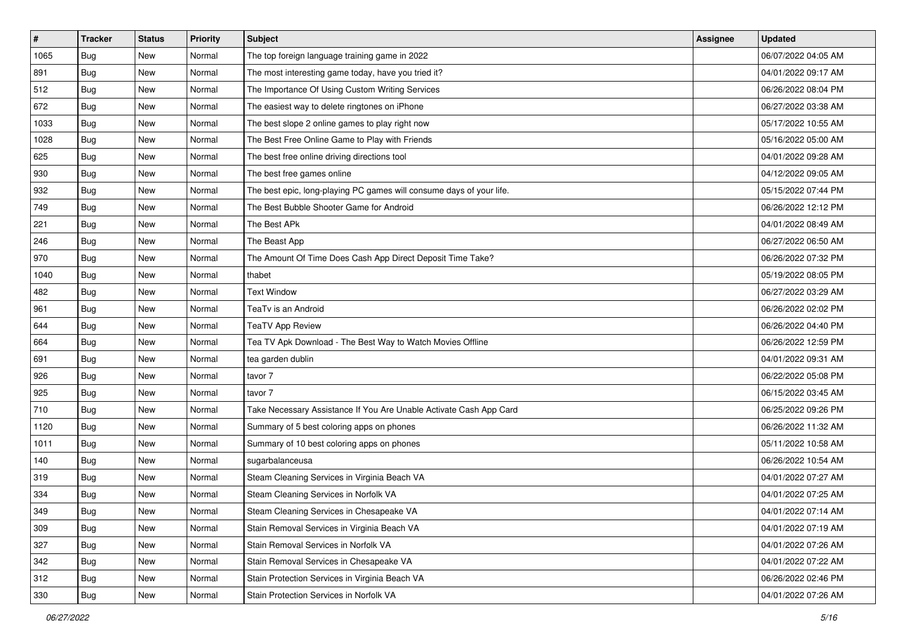| $\sharp$ | <b>Tracker</b> | <b>Status</b> | <b>Priority</b> | <b>Subject</b>                                                       | Assignee | <b>Updated</b>      |
|----------|----------------|---------------|-----------------|----------------------------------------------------------------------|----------|---------------------|
| 1065     | <b>Bug</b>     | New           | Normal          | The top foreign language training game in 2022                       |          | 06/07/2022 04:05 AM |
| 891      | Bug            | <b>New</b>    | Normal          | The most interesting game today, have you tried it?                  |          | 04/01/2022 09:17 AM |
| 512      | Bug            | New           | Normal          | The Importance Of Using Custom Writing Services                      |          | 06/26/2022 08:04 PM |
| 672      | <b>Bug</b>     | New           | Normal          | The easiest way to delete ringtones on iPhone                        |          | 06/27/2022 03:38 AM |
| 1033     | Bug            | <b>New</b>    | Normal          | The best slope 2 online games to play right now                      |          | 05/17/2022 10:55 AM |
| 1028     | <b>Bug</b>     | New           | Normal          | The Best Free Online Game to Play with Friends                       |          | 05/16/2022 05:00 AM |
| 625      | Bug            | New           | Normal          | The best free online driving directions tool                         |          | 04/01/2022 09:28 AM |
| 930      | Bug            | New           | Normal          | The best free games online                                           |          | 04/12/2022 09:05 AM |
| 932      | Bug            | New           | Normal          | The best epic, long-playing PC games will consume days of your life. |          | 05/15/2022 07:44 PM |
| 749      | Bug            | <b>New</b>    | Normal          | The Best Bubble Shooter Game for Android                             |          | 06/26/2022 12:12 PM |
| 221      | <b>Bug</b>     | New           | Normal          | The Best APk                                                         |          | 04/01/2022 08:49 AM |
| 246      | <b>Bug</b>     | New           | Normal          | The Beast App                                                        |          | 06/27/2022 06:50 AM |
| 970      | Bug            | New           | Normal          | The Amount Of Time Does Cash App Direct Deposit Time Take?           |          | 06/26/2022 07:32 PM |
| 1040     | <b>Bug</b>     | New           | Normal          | thabet                                                               |          | 05/19/2022 08:05 PM |
| 482      | <b>Bug</b>     | <b>New</b>    | Normal          | <b>Text Window</b>                                                   |          | 06/27/2022 03:29 AM |
| 961      | Bug            | New           | Normal          | TeaTv is an Android                                                  |          | 06/26/2022 02:02 PM |
| 644      | <b>Bug</b>     | New           | Normal          | <b>TeaTV App Review</b>                                              |          | 06/26/2022 04:40 PM |
| 664      | Bug            | New           | Normal          | Tea TV Apk Download - The Best Way to Watch Movies Offline           |          | 06/26/2022 12:59 PM |
| 691      | Bug            | New           | Normal          | tea garden dublin                                                    |          | 04/01/2022 09:31 AM |
| 926      | <b>Bug</b>     | New           | Normal          | tavor 7                                                              |          | 06/22/2022 05:08 PM |
| 925      | <b>Bug</b>     | New           | Normal          | tavor 7                                                              |          | 06/15/2022 03:45 AM |
| 710      | <b>Bug</b>     | <b>New</b>    | Normal          | Take Necessary Assistance If You Are Unable Activate Cash App Card   |          | 06/25/2022 09:26 PM |
| 1120     | Bug            | <b>New</b>    | Normal          | Summary of 5 best coloring apps on phones                            |          | 06/26/2022 11:32 AM |
| 1011     | Bug            | New           | Normal          | Summary of 10 best coloring apps on phones                           |          | 05/11/2022 10:58 AM |
| 140      | Bug            | New           | Normal          | sugarbalanceusa                                                      |          | 06/26/2022 10:54 AM |
| 319      | Bug            | New           | Normal          | Steam Cleaning Services in Virginia Beach VA                         |          | 04/01/2022 07:27 AM |
| 334      | <b>Bug</b>     | New           | Normal          | Steam Cleaning Services in Norfolk VA                                |          | 04/01/2022 07:25 AM |
| 349      | i Bug          | New           | Normal          | Steam Cleaning Services in Chesapeake VA                             |          | 04/01/2022 07:14 AM |
| 309      | Bug            | New           | Normal          | Stain Removal Services in Virginia Beach VA                          |          | 04/01/2022 07:19 AM |
| 327      | <b>Bug</b>     | New           | Normal          | Stain Removal Services in Norfolk VA                                 |          | 04/01/2022 07:26 AM |
| 342      | <b>Bug</b>     | New           | Normal          | Stain Removal Services in Chesapeake VA                              |          | 04/01/2022 07:22 AM |
| 312      | <b>Bug</b>     | New           | Normal          | Stain Protection Services in Virginia Beach VA                       |          | 06/26/2022 02:46 PM |
| 330      | <b>Bug</b>     | New           | Normal          | Stain Protection Services in Norfolk VA                              |          | 04/01/2022 07:26 AM |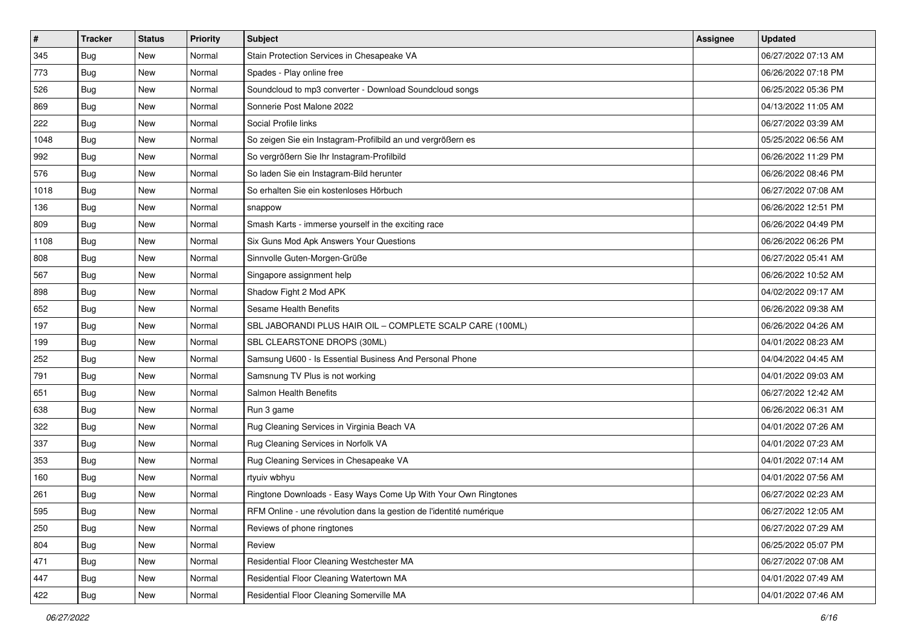| $\sharp$ | <b>Tracker</b> | <b>Status</b> | <b>Priority</b> | Subject                                                             | Assignee | <b>Updated</b>      |
|----------|----------------|---------------|-----------------|---------------------------------------------------------------------|----------|---------------------|
| 345      | <b>Bug</b>     | New           | Normal          | Stain Protection Services in Chesapeake VA                          |          | 06/27/2022 07:13 AM |
| 773      | Bug            | <b>New</b>    | Normal          | Spades - Play online free                                           |          | 06/26/2022 07:18 PM |
| 526      | Bug            | New           | Normal          | Soundcloud to mp3 converter - Download Soundcloud songs             |          | 06/25/2022 05:36 PM |
| 869      | <b>Bug</b>     | <b>New</b>    | Normal          | Sonnerie Post Malone 2022                                           |          | 04/13/2022 11:05 AM |
| 222      | Bug            | <b>New</b>    | Normal          | Social Profile links                                                |          | 06/27/2022 03:39 AM |
| 1048     | <b>Bug</b>     | <b>New</b>    | Normal          | So zeigen Sie ein Instagram-Profilbild an und vergrößern es         |          | 05/25/2022 06:56 AM |
| 992      | Bug            | New           | Normal          | So vergrößern Sie Ihr Instagram-Profilbild                          |          | 06/26/2022 11:29 PM |
| 576      | Bug            | New           | Normal          | So laden Sie ein Instagram-Bild herunter                            |          | 06/26/2022 08:46 PM |
| 1018     | <b>Bug</b>     | <b>New</b>    | Normal          | So erhalten Sie ein kostenloses Hörbuch                             |          | 06/27/2022 07:08 AM |
| 136      | Bug            | <b>New</b>    | Normal          | snappow                                                             |          | 06/26/2022 12:51 PM |
| 809      | Bug            | New           | Normal          | Smash Karts - immerse yourself in the exciting race                 |          | 06/26/2022 04:49 PM |
| 1108     | <b>Bug</b>     | New           | Normal          | Six Guns Mod Apk Answers Your Questions                             |          | 06/26/2022 06:26 PM |
| 808      | Bug            | <b>New</b>    | Normal          | Sinnvolle Guten-Morgen-Grüße                                        |          | 06/27/2022 05:41 AM |
| 567      | <b>Bug</b>     | New           | Normal          | Singapore assignment help                                           |          | 06/26/2022 10:52 AM |
| 898      | Bug            | <b>New</b>    | Normal          | Shadow Fight 2 Mod APK                                              |          | 04/02/2022 09:17 AM |
| 652      | Bug            | New           | Normal          | <b>Sesame Health Benefits</b>                                       |          | 06/26/2022 09:38 AM |
| 197      | <b>Bug</b>     | <b>New</b>    | Normal          | SBL JABORANDI PLUS HAIR OIL - COMPLETE SCALP CARE (100ML)           |          | 06/26/2022 04:26 AM |
| 199      | Bug            | <b>New</b>    | Normal          | SBL CLEARSTONE DROPS (30ML)                                         |          | 04/01/2022 08:23 AM |
| 252      | Bug            | New           | Normal          | Samsung U600 - Is Essential Business And Personal Phone             |          | 04/04/2022 04:45 AM |
| 791      | Bug            | <b>New</b>    | Normal          | Samsnung TV Plus is not working                                     |          | 04/01/2022 09:03 AM |
| 651      | Bug            | New           | Normal          | Salmon Health Benefits                                              |          | 06/27/2022 12:42 AM |
| 638      | <b>Bug</b>     | <b>New</b>    | Normal          | Run 3 game                                                          |          | 06/26/2022 06:31 AM |
| 322      | Bug            | <b>New</b>    | Normal          | Rug Cleaning Services in Virginia Beach VA                          |          | 04/01/2022 07:26 AM |
| 337      | Bug            | New           | Normal          | Rug Cleaning Services in Norfolk VA                                 |          | 04/01/2022 07:23 AM |
| 353      | Bug            | New           | Normal          | Rug Cleaning Services in Chesapeake VA                              |          | 04/01/2022 07:14 AM |
| 160      | Bug            | New           | Normal          | rtyuiv wbhyu                                                        |          | 04/01/2022 07:56 AM |
| 261      | <b>Bug</b>     | New           | Normal          | Ringtone Downloads - Easy Ways Come Up With Your Own Ringtones      |          | 06/27/2022 02:23 AM |
| 595      | i Bug          | New           | Normal          | RFM Online - une révolution dans la gestion de l'identité numérique |          | 06/27/2022 12:05 AM |
| 250      | Bug            | New           | Normal          | Reviews of phone ringtones                                          |          | 06/27/2022 07:29 AM |
| 804      | <b>Bug</b>     | New           | Normal          | Review                                                              |          | 06/25/2022 05:07 PM |
| 471      | <b>Bug</b>     | New           | Normal          | Residential Floor Cleaning Westchester MA                           |          | 06/27/2022 07:08 AM |
| 447      | <b>Bug</b>     | New           | Normal          | Residential Floor Cleaning Watertown MA                             |          | 04/01/2022 07:49 AM |
| 422      | <b>Bug</b>     | New           | Normal          | Residential Floor Cleaning Somerville MA                            |          | 04/01/2022 07:46 AM |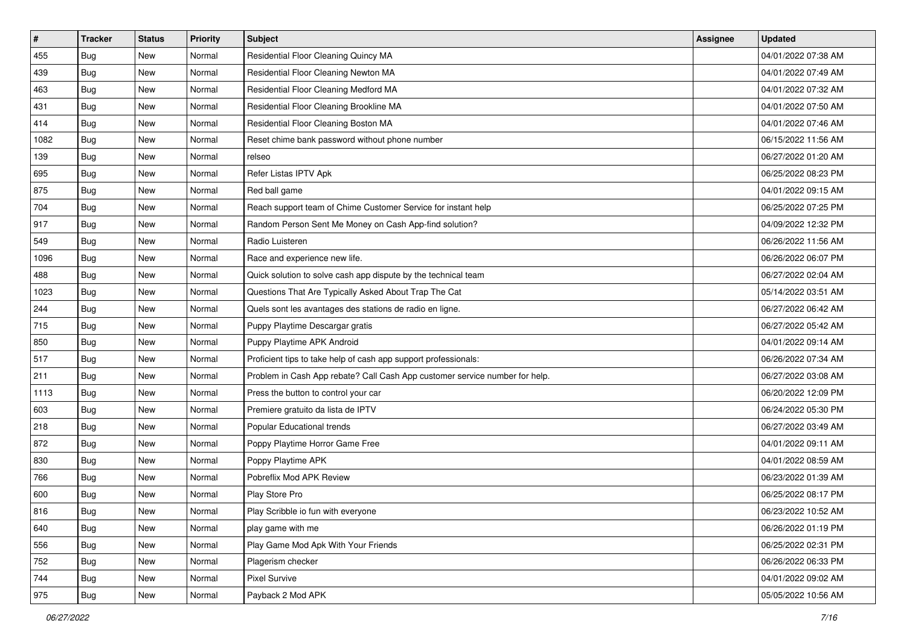| $\sharp$ | <b>Tracker</b> | <b>Status</b> | <b>Priority</b> | <b>Subject</b>                                                              | Assignee | <b>Updated</b>      |
|----------|----------------|---------------|-----------------|-----------------------------------------------------------------------------|----------|---------------------|
| 455      | Bug            | New           | Normal          | Residential Floor Cleaning Quincy MA                                        |          | 04/01/2022 07:38 AM |
| 439      | Bug            | <b>New</b>    | Normal          | Residential Floor Cleaning Newton MA                                        |          | 04/01/2022 07:49 AM |
| 463      | Bug            | New           | Normal          | Residential Floor Cleaning Medford MA                                       |          | 04/01/2022 07:32 AM |
| 431      | <b>Bug</b>     | New           | Normal          | Residential Floor Cleaning Brookline MA                                     |          | 04/01/2022 07:50 AM |
| 414      | Bug            | <b>New</b>    | Normal          | Residential Floor Cleaning Boston MA                                        |          | 04/01/2022 07:46 AM |
| 1082     | <b>Bug</b>     | New           | Normal          | Reset chime bank password without phone number                              |          | 06/15/2022 11:56 AM |
| 139      | Bug            | New           | Normal          | relseo                                                                      |          | 06/27/2022 01:20 AM |
| 695      | <b>Bug</b>     | New           | Normal          | Refer Listas IPTV Apk                                                       |          | 06/25/2022 08:23 PM |
| 875      | <b>Bug</b>     | New           | Normal          | Red ball game                                                               |          | 04/01/2022 09:15 AM |
| 704      | Bug            | <b>New</b>    | Normal          | Reach support team of Chime Customer Service for instant help               |          | 06/25/2022 07:25 PM |
| 917      | <b>Bug</b>     | New           | Normal          | Random Person Sent Me Money on Cash App-find solution?                      |          | 04/09/2022 12:32 PM |
| 549      | <b>Bug</b>     | New           | Normal          | Radio Luisteren                                                             |          | 06/26/2022 11:56 AM |
| 1096     | Bug            | New           | Normal          | Race and experience new life.                                               |          | 06/26/2022 06:07 PM |
| 488      | Bug            | New           | Normal          | Quick solution to solve cash app dispute by the technical team              |          | 06/27/2022 02:04 AM |
| 1023     | Bug            | <b>New</b>    | Normal          | Questions That Are Typically Asked About Trap The Cat                       |          | 05/14/2022 03:51 AM |
| 244      | Bug            | New           | Normal          | Quels sont les avantages des stations de radio en ligne.                    |          | 06/27/2022 06:42 AM |
| 715      | <b>Bug</b>     | <b>New</b>    | Normal          | Puppy Playtime Descargar gratis                                             |          | 06/27/2022 05:42 AM |
| 850      | Bug            | New           | Normal          | Puppy Playtime APK Android                                                  |          | 04/01/2022 09:14 AM |
| 517      | Bug            | New           | Normal          | Proficient tips to take help of cash app support professionals:             |          | 06/26/2022 07:34 AM |
| 211      | Bug            | New           | Normal          | Problem in Cash App rebate? Call Cash App customer service number for help. |          | 06/27/2022 03:08 AM |
| 1113     | Bug            | New           | Normal          | Press the button to control your car                                        |          | 06/20/2022 12:09 PM |
| 603      | <b>Bug</b>     | <b>New</b>    | Normal          | Premiere gratuito da lista de IPTV                                          |          | 06/24/2022 05:30 PM |
| 218      | Bug            | <b>New</b>    | Normal          | Popular Educational trends                                                  |          | 06/27/2022 03:49 AM |
| 872      | <b>Bug</b>     | New           | Normal          | Poppy Playtime Horror Game Free                                             |          | 04/01/2022 09:11 AM |
| 830      | Bug            | New           | Normal          | Poppy Playtime APK                                                          |          | 04/01/2022 08:59 AM |
| 766      | <b>Bug</b>     | New           | Normal          | Pobreflix Mod APK Review                                                    |          | 06/23/2022 01:39 AM |
| 600      | <b>Bug</b>     | New           | Normal          | Play Store Pro                                                              |          | 06/25/2022 08:17 PM |
| 816      | <b>Bug</b>     | New           | Normal          | Play Scribble io fun with everyone                                          |          | 06/23/2022 10:52 AM |
| 640      | Bug            | New           | Normal          | play game with me                                                           |          | 06/26/2022 01:19 PM |
| 556      | <b>Bug</b>     | New           | Normal          | Play Game Mod Apk With Your Friends                                         |          | 06/25/2022 02:31 PM |
| 752      | Bug            | New           | Normal          | Plagerism checker                                                           |          | 06/26/2022 06:33 PM |
| 744      | <b>Bug</b>     | New           | Normal          | <b>Pixel Survive</b>                                                        |          | 04/01/2022 09:02 AM |
| 975      | <b>Bug</b>     | New           | Normal          | Payback 2 Mod APK                                                           |          | 05/05/2022 10:56 AM |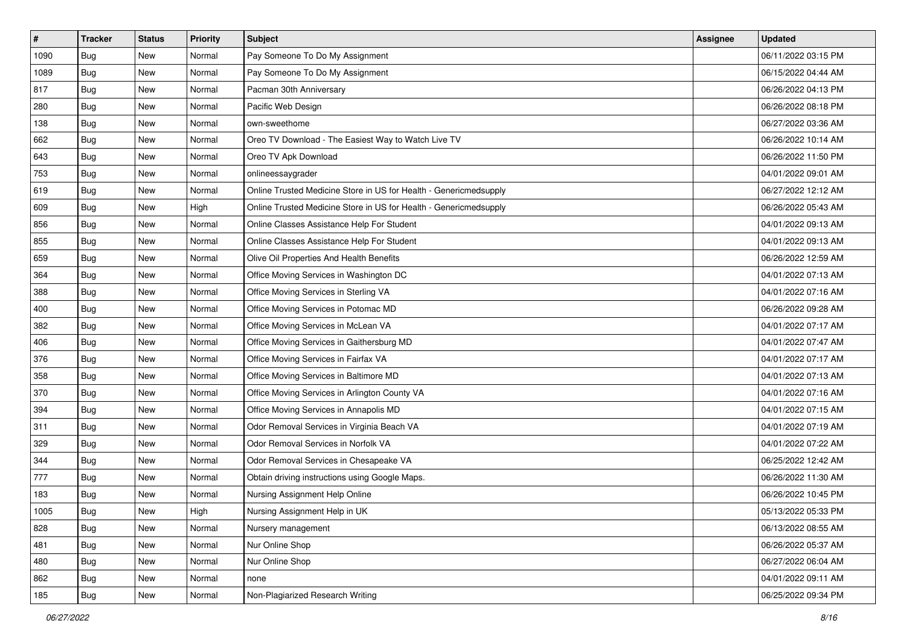| $\sharp$ | <b>Tracker</b> | <b>Status</b> | <b>Priority</b> | <b>Subject</b>                                                    | Assignee | <b>Updated</b>      |
|----------|----------------|---------------|-----------------|-------------------------------------------------------------------|----------|---------------------|
| 1090     | <b>Bug</b>     | New           | Normal          | Pay Someone To Do My Assignment                                   |          | 06/11/2022 03:15 PM |
| 1089     | Bug            | <b>New</b>    | Normal          | Pay Someone To Do My Assignment                                   |          | 06/15/2022 04:44 AM |
| 817      | Bug            | New           | Normal          | Pacman 30th Anniversary                                           |          | 06/26/2022 04:13 PM |
| 280      | Bug            | New           | Normal          | Pacific Web Design                                                |          | 06/26/2022 08:18 PM |
| 138      | Bug            | <b>New</b>    | Normal          | own-sweethome                                                     |          | 06/27/2022 03:36 AM |
| 662      | <b>Bug</b>     | New           | Normal          | Oreo TV Download - The Easiest Way to Watch Live TV               |          | 06/26/2022 10:14 AM |
| 643      | Bug            | New           | Normal          | Oreo TV Apk Download                                              |          | 06/26/2022 11:50 PM |
| 753      | <b>Bug</b>     | New           | Normal          | onlineessaygrader                                                 |          | 04/01/2022 09:01 AM |
| 619      | <b>Bug</b>     | New           | Normal          | Online Trusted Medicine Store in US for Health - Genericmedsupply |          | 06/27/2022 12:12 AM |
| 609      | Bug            | <b>New</b>    | High            | Online Trusted Medicine Store in US for Health - Genericmedsupply |          | 06/26/2022 05:43 AM |
| 856      | <b>Bug</b>     | New           | Normal          | Online Classes Assistance Help For Student                        |          | 04/01/2022 09:13 AM |
| 855      | <b>Bug</b>     | New           | Normal          | Online Classes Assistance Help For Student                        |          | 04/01/2022 09:13 AM |
| 659      | Bug            | New           | Normal          | Olive Oil Properties And Health Benefits                          |          | 06/26/2022 12:59 AM |
| 364      | <b>Bug</b>     | New           | Normal          | Office Moving Services in Washington DC                           |          | 04/01/2022 07:13 AM |
| 388      | Bug            | <b>New</b>    | Normal          | Office Moving Services in Sterling VA                             |          | 04/01/2022 07:16 AM |
| 400      | Bug            | New           | Normal          | Office Moving Services in Potomac MD                              |          | 06/26/2022 09:28 AM |
| 382      | <b>Bug</b>     | New           | Normal          | Office Moving Services in McLean VA                               |          | 04/01/2022 07:17 AM |
| 406      | Bug            | New           | Normal          | Office Moving Services in Gaithersburg MD                         |          | 04/01/2022 07:47 AM |
| 376      | Bug            | New           | Normal          | Office Moving Services in Fairfax VA                              |          | 04/01/2022 07:17 AM |
| 358      | Bug            | New           | Normal          | Office Moving Services in Baltimore MD                            |          | 04/01/2022 07:13 AM |
| 370      | <b>Bug</b>     | New           | Normal          | Office Moving Services in Arlington County VA                     |          | 04/01/2022 07:16 AM |
| 394      | <b>Bug</b>     | <b>New</b>    | Normal          | Office Moving Services in Annapolis MD                            |          | 04/01/2022 07:15 AM |
| 311      | Bug            | <b>New</b>    | Normal          | Odor Removal Services in Virginia Beach VA                        |          | 04/01/2022 07:19 AM |
| 329      | <b>Bug</b>     | New           | Normal          | Odor Removal Services in Norfolk VA                               |          | 04/01/2022 07:22 AM |
| 344      | Bug            | New           | Normal          | Odor Removal Services in Chesapeake VA                            |          | 06/25/2022 12:42 AM |
| 777      | <b>Bug</b>     | New           | Normal          | Obtain driving instructions using Google Maps.                    |          | 06/26/2022 11:30 AM |
| 183      | <b>Bug</b>     | New           | Normal          | Nursing Assignment Help Online                                    |          | 06/26/2022 10:45 PM |
| 1005     | i Bug          | New           | High            | Nursing Assignment Help in UK                                     |          | 05/13/2022 05:33 PM |
| 828      | Bug            | New           | Normal          | Nursery management                                                |          | 06/13/2022 08:55 AM |
| 481      | <b>Bug</b>     | New           | Normal          | Nur Online Shop                                                   |          | 06/26/2022 05:37 AM |
| 480      | Bug            | New           | Normal          | Nur Online Shop                                                   |          | 06/27/2022 06:04 AM |
| 862      | Bug            | New           | Normal          | none                                                              |          | 04/01/2022 09:11 AM |
| 185      | <b>Bug</b>     | New           | Normal          | Non-Plagiarized Research Writing                                  |          | 06/25/2022 09:34 PM |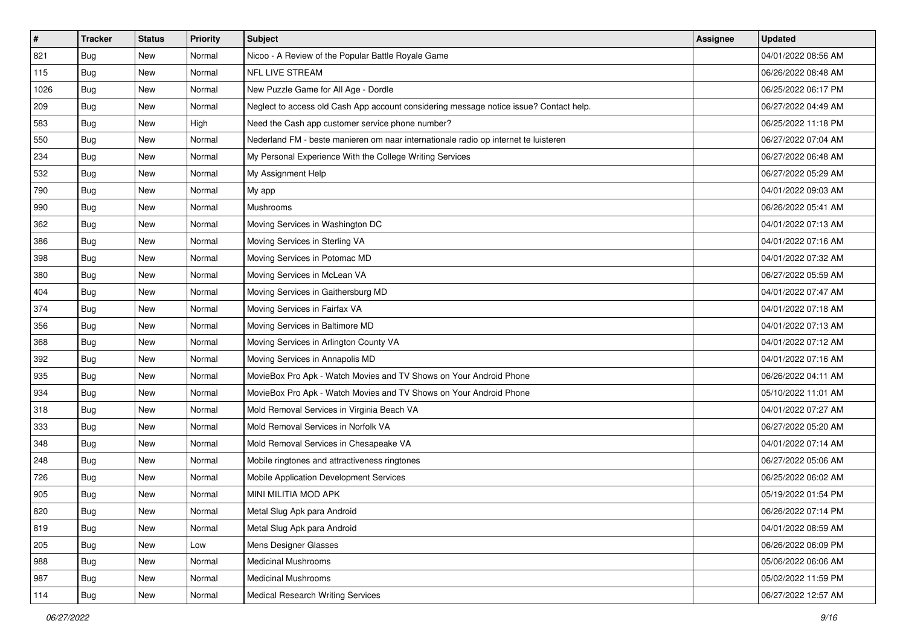| #    | <b>Tracker</b> | <b>Status</b> | <b>Priority</b> | <b>Subject</b>                                                                         | <b>Assignee</b> | <b>Updated</b>      |
|------|----------------|---------------|-----------------|----------------------------------------------------------------------------------------|-----------------|---------------------|
| 821  | <b>Bug</b>     | New           | Normal          | Nicoo - A Review of the Popular Battle Royale Game                                     |                 | 04/01/2022 08:56 AM |
| 115  | Bug            | New           | Normal          | <b>NFL LIVE STREAM</b>                                                                 |                 | 06/26/2022 08:48 AM |
| 1026 | Bug            | New           | Normal          | New Puzzle Game for All Age - Dordle                                                   |                 | 06/25/2022 06:17 PM |
| 209  | <b>Bug</b>     | New           | Normal          | Neglect to access old Cash App account considering message notice issue? Contact help. |                 | 06/27/2022 04:49 AM |
| 583  | Bug            | New           | High            | Need the Cash app customer service phone number?                                       |                 | 06/25/2022 11:18 PM |
| 550  | <b>Bug</b>     | New           | Normal          | Nederland FM - beste manieren om naar internationale radio op internet te luisteren    |                 | 06/27/2022 07:04 AM |
| 234  | Bug            | New           | Normal          | My Personal Experience With the College Writing Services                               |                 | 06/27/2022 06:48 AM |
| 532  | Bug            | New           | Normal          | My Assignment Help                                                                     |                 | 06/27/2022 05:29 AM |
| 790  | <b>Bug</b>     | New           | Normal          | My app                                                                                 |                 | 04/01/2022 09:03 AM |
| 990  | Bug            | New           | Normal          | Mushrooms                                                                              |                 | 06/26/2022 05:41 AM |
| 362  | <b>Bug</b>     | New           | Normal          | Moving Services in Washington DC                                                       |                 | 04/01/2022 07:13 AM |
| 386  | Bug            | New           | Normal          | Moving Services in Sterling VA                                                         |                 | 04/01/2022 07:16 AM |
| 398  | Bug            | New           | Normal          | Moving Services in Potomac MD                                                          |                 | 04/01/2022 07:32 AM |
| 380  | <b>Bug</b>     | New           | Normal          | Moving Services in McLean VA                                                           |                 | 06/27/2022 05:59 AM |
| 404  | <b>Bug</b>     | New           | Normal          | Moving Services in Gaithersburg MD                                                     |                 | 04/01/2022 07:47 AM |
| 374  | Bug            | New           | Normal          | Moving Services in Fairfax VA                                                          |                 | 04/01/2022 07:18 AM |
| 356  | <b>Bug</b>     | New           | Normal          | Moving Services in Baltimore MD                                                        |                 | 04/01/2022 07:13 AM |
| 368  | Bug            | New           | Normal          | Moving Services in Arlington County VA                                                 |                 | 04/01/2022 07:12 AM |
| 392  | Bug            | New           | Normal          | Moving Services in Annapolis MD                                                        |                 | 04/01/2022 07:16 AM |
| 935  | <b>Bug</b>     | New           | Normal          | MovieBox Pro Apk - Watch Movies and TV Shows on Your Android Phone                     |                 | 06/26/2022 04:11 AM |
| 934  | <b>Bug</b>     | New           | Normal          | MovieBox Pro Apk - Watch Movies and TV Shows on Your Android Phone                     |                 | 05/10/2022 11:01 AM |
| 318  | <b>Bug</b>     | New           | Normal          | Mold Removal Services in Virginia Beach VA                                             |                 | 04/01/2022 07:27 AM |
| 333  | Bug            | New           | Normal          | Mold Removal Services in Norfolk VA                                                    |                 | 06/27/2022 05:20 AM |
| 348  | <b>Bug</b>     | New           | Normal          | Mold Removal Services in Chesapeake VA                                                 |                 | 04/01/2022 07:14 AM |
| 248  | Bug            | New           | Normal          | Mobile ringtones and attractiveness ringtones                                          |                 | 06/27/2022 05:06 AM |
| 726  | Bug            | New           | Normal          | Mobile Application Development Services                                                |                 | 06/25/2022 06:02 AM |
| 905  | <b>Bug</b>     | New           | Normal          | MINI MILITIA MOD APK                                                                   |                 | 05/19/2022 01:54 PM |
| 820  | <b>Bug</b>     | New           | Normal          | Metal Slug Apk para Android                                                            |                 | 06/26/2022 07:14 PM |
| 819  | <b>Bug</b>     | New           | Normal          | Metal Slug Apk para Android                                                            |                 | 04/01/2022 08:59 AM |
| 205  | Bug            | New           | Low             | Mens Designer Glasses                                                                  |                 | 06/26/2022 06:09 PM |
| 988  | Bug            | New           | Normal          | Medicinal Mushrooms                                                                    |                 | 05/06/2022 06:06 AM |
| 987  | <b>Bug</b>     | New           | Normal          | <b>Medicinal Mushrooms</b>                                                             |                 | 05/02/2022 11:59 PM |
| 114  | Bug            | New           | Normal          | Medical Research Writing Services                                                      |                 | 06/27/2022 12:57 AM |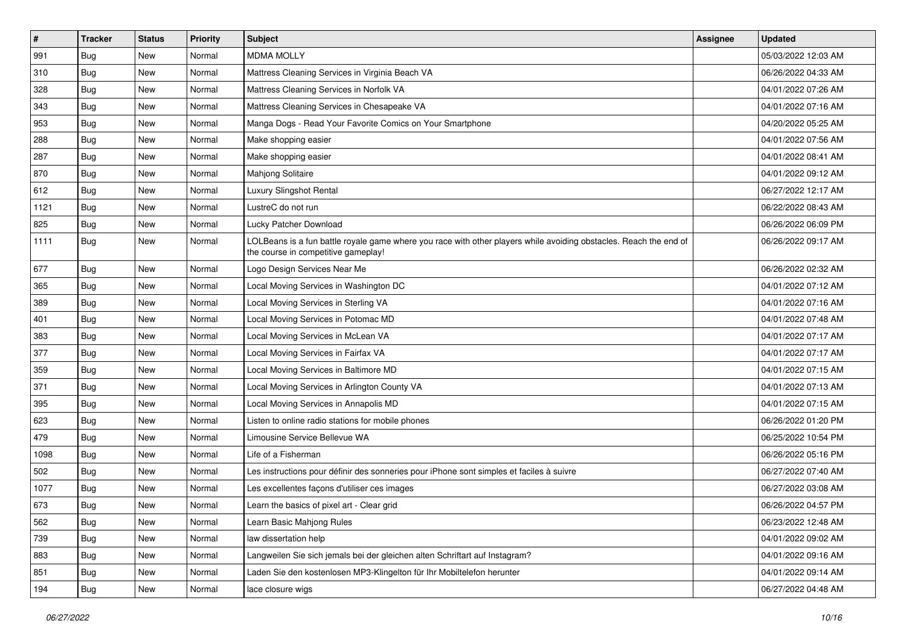| $\vert$ # | <b>Tracker</b> | <b>Status</b> | <b>Priority</b> | Subject                                                                                                                                                  | <b>Assignee</b> | <b>Updated</b>      |
|-----------|----------------|---------------|-----------------|----------------------------------------------------------------------------------------------------------------------------------------------------------|-----------------|---------------------|
| 991       | <b>Bug</b>     | New           | Normal          | <b>MDMA MOLLY</b>                                                                                                                                        |                 | 05/03/2022 12:03 AM |
| 310       | Bug            | New           | Normal          | Mattress Cleaning Services in Virginia Beach VA                                                                                                          |                 | 06/26/2022 04:33 AM |
| 328       | Bug            | New           | Normal          | Mattress Cleaning Services in Norfolk VA                                                                                                                 |                 | 04/01/2022 07:26 AM |
| 343       | <b>Bug</b>     | New           | Normal          | Mattress Cleaning Services in Chesapeake VA                                                                                                              |                 | 04/01/2022 07:16 AM |
| 953       | <b>Bug</b>     | <b>New</b>    | Normal          | Manga Dogs - Read Your Favorite Comics on Your Smartphone                                                                                                |                 | 04/20/2022 05:25 AM |
| 288       | <b>Bug</b>     | New           | Normal          | Make shopping easier                                                                                                                                     |                 | 04/01/2022 07:56 AM |
| 287       | Bug            | New           | Normal          | Make shopping easier                                                                                                                                     |                 | 04/01/2022 08:41 AM |
| 870       | Bug            | New           | Normal          | Mahjong Solitaire                                                                                                                                        |                 | 04/01/2022 09:12 AM |
| 612       | Bug            | New           | Normal          | Luxury Slingshot Rental                                                                                                                                  |                 | 06/27/2022 12:17 AM |
| 1121      | Bug            | <b>New</b>    | Normal          | LustreC do not run                                                                                                                                       |                 | 06/22/2022 08:43 AM |
| 825       | <b>Bug</b>     | New           | Normal          | Lucky Patcher Download                                                                                                                                   |                 | 06/26/2022 06:09 PM |
| 1111      | <b>Bug</b>     | New           | Normal          | LOLBeans is a fun battle royale game where you race with other players while avoiding obstacles. Reach the end of<br>the course in competitive gameplay! |                 | 06/26/2022 09:17 AM |
| 677       | <b>Bug</b>     | New           | Normal          | Logo Design Services Near Me                                                                                                                             |                 | 06/26/2022 02:32 AM |
| 365       | Bug            | New           | Normal          | Local Moving Services in Washington DC                                                                                                                   |                 | 04/01/2022 07:12 AM |
| 389       | Bug            | New           | Normal          | Local Moving Services in Sterling VA                                                                                                                     |                 | 04/01/2022 07:16 AM |
| 401       | <b>Bug</b>     | New           | Normal          | Local Moving Services in Potomac MD                                                                                                                      |                 | 04/01/2022 07:48 AM |
| 383       | Bug            | <b>New</b>    | Normal          | Local Moving Services in McLean VA                                                                                                                       |                 | 04/01/2022 07:17 AM |
| 377       | Bug            | New           | Normal          | Local Moving Services in Fairfax VA                                                                                                                      |                 | 04/01/2022 07:17 AM |
| 359       | Bug            | New           | Normal          | Local Moving Services in Baltimore MD                                                                                                                    |                 | 04/01/2022 07:15 AM |
| 371       | Bug            | New           | Normal          | Local Moving Services in Arlington County VA                                                                                                             |                 | 04/01/2022 07:13 AM |
| 395       | Bug            | <b>New</b>    | Normal          | Local Moving Services in Annapolis MD                                                                                                                    |                 | 04/01/2022 07:15 AM |
| 623       | Bug            | <b>New</b>    | Normal          | Listen to online radio stations for mobile phones                                                                                                        |                 | 06/26/2022 01:20 PM |
| 479       | <b>Bug</b>     | New           | Normal          | Limousine Service Bellevue WA                                                                                                                            |                 | 06/25/2022 10:54 PM |
| 1098      | Bug            | New           | Normal          | Life of a Fisherman                                                                                                                                      |                 | 06/26/2022 05:16 PM |
| 502       | <b>Bug</b>     | <b>New</b>    | Normal          | Les instructions pour définir des sonneries pour iPhone sont simples et faciles à suivre                                                                 |                 | 06/27/2022 07:40 AM |
| 1077      | <b>Bug</b>     | New           | Normal          | Les excellentes façons d'utiliser ces images                                                                                                             |                 | 06/27/2022 03:08 AM |
| 673       | <b>Bug</b>     | New           | Normal          | Learn the basics of pixel art - Clear grid                                                                                                               |                 | 06/26/2022 04:57 PM |
| 562       | Bug            | New           | Normal          | Learn Basic Mahjong Rules                                                                                                                                |                 | 06/23/2022 12:48 AM |
| 739       | <b>Bug</b>     | New           | Normal          | law dissertation help                                                                                                                                    |                 | 04/01/2022 09:02 AM |
| 883       | Bug            | New           | Normal          | Langweilen Sie sich jemals bei der gleichen alten Schriftart auf Instagram?                                                                              |                 | 04/01/2022 09:16 AM |
| 851       | <b>Bug</b>     | New           | Normal          | Laden Sie den kostenlosen MP3-Klingelton für Ihr Mobiltelefon herunter                                                                                   |                 | 04/01/2022 09:14 AM |
| 194       | <b>Bug</b>     | New           | Normal          | lace closure wigs                                                                                                                                        |                 | 06/27/2022 04:48 AM |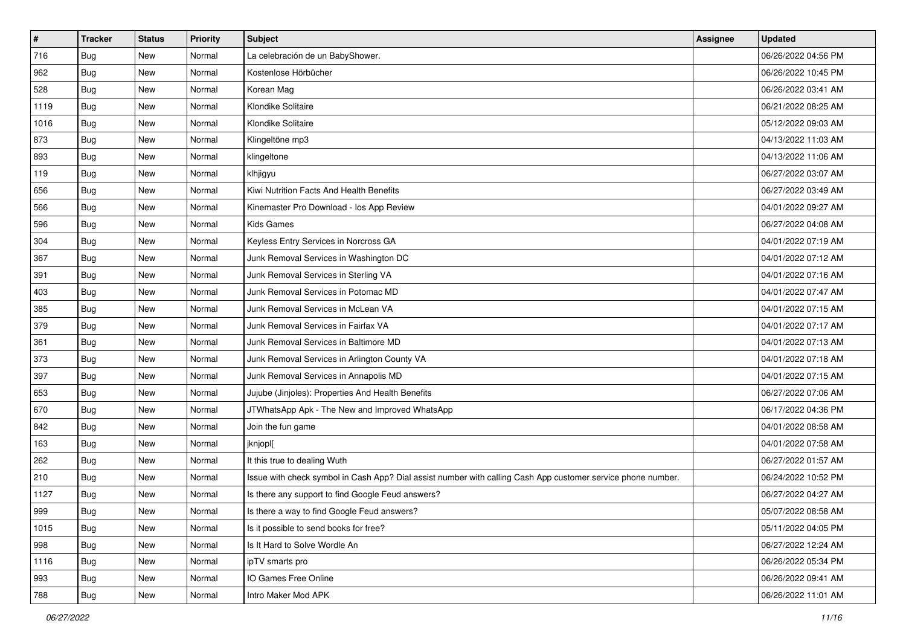| $\vert$ # | <b>Tracker</b> | <b>Status</b> | <b>Priority</b> | <b>Subject</b>                                                                                               | Assignee | <b>Updated</b>      |
|-----------|----------------|---------------|-----------------|--------------------------------------------------------------------------------------------------------------|----------|---------------------|
| 716       | <b>Bug</b>     | New           | Normal          | La celebración de un BabyShower.                                                                             |          | 06/26/2022 04:56 PM |
| 962       | Bug            | New           | Normal          | Kostenlose Hörbücher                                                                                         |          | 06/26/2022 10:45 PM |
| 528       | Bug            | New           | Normal          | Korean Mag                                                                                                   |          | 06/26/2022 03:41 AM |
| 1119      | Bug            | <b>New</b>    | Normal          | Klondike Solitaire                                                                                           |          | 06/21/2022 08:25 AM |
| 1016      | Bug            | <b>New</b>    | Normal          | Klondike Solitaire                                                                                           |          | 05/12/2022 09:03 AM |
| 873       | <b>Bug</b>     | New           | Normal          | Klingeltöne mp3                                                                                              |          | 04/13/2022 11:03 AM |
| 893       | Bug            | <b>New</b>    | Normal          | klingeltone                                                                                                  |          | 04/13/2022 11:06 AM |
| 119       | Bug            | <b>New</b>    | Normal          | klhjigyu                                                                                                     |          | 06/27/2022 03:07 AM |
| 656       | <b>Bug</b>     | New           | Normal          | Kiwi Nutrition Facts And Health Benefits                                                                     |          | 06/27/2022 03:49 AM |
| 566       | <b>Bug</b>     | New           | Normal          | Kinemaster Pro Download - los App Review                                                                     |          | 04/01/2022 09:27 AM |
| 596       | Bug            | New           | Normal          | <b>Kids Games</b>                                                                                            |          | 06/27/2022 04:08 AM |
| 304       | Bug            | New           | Normal          | Keyless Entry Services in Norcross GA                                                                        |          | 04/01/2022 07:19 AM |
| 367       | Bug            | New           | Normal          | Junk Removal Services in Washington DC                                                                       |          | 04/01/2022 07:12 AM |
| 391       | <b>Bug</b>     | New           | Normal          | Junk Removal Services in Sterling VA                                                                         |          | 04/01/2022 07:16 AM |
| 403       | <b>Bug</b>     | New           | Normal          | Junk Removal Services in Potomac MD                                                                          |          | 04/01/2022 07:47 AM |
| 385       | Bug            | New           | Normal          | Junk Removal Services in McLean VA                                                                           |          | 04/01/2022 07:15 AM |
| 379       | <b>Bug</b>     | New           | Normal          | Junk Removal Services in Fairfax VA                                                                          |          | 04/01/2022 07:17 AM |
| 361       | Bug            | New           | Normal          | Junk Removal Services in Baltimore MD                                                                        |          | 04/01/2022 07:13 AM |
| 373       | <b>Bug</b>     | New           | Normal          | Junk Removal Services in Arlington County VA                                                                 |          | 04/01/2022 07:18 AM |
| 397       | Bug            | <b>New</b>    | Normal          | Junk Removal Services in Annapolis MD                                                                        |          | 04/01/2022 07:15 AM |
| 653       | <b>Bug</b>     | <b>New</b>    | Normal          | Jujube (Jinjoles): Properties And Health Benefits                                                            |          | 06/27/2022 07:06 AM |
| 670       | <b>Bug</b>     | New           | Normal          | JTWhatsApp Apk - The New and Improved WhatsApp                                                               |          | 06/17/2022 04:36 PM |
| 842       | Bug            | New           | Normal          | Join the fun game                                                                                            |          | 04/01/2022 08:58 AM |
| 163       | <b>Bug</b>     | New           | Normal          | jknjopl[                                                                                                     |          | 04/01/2022 07:58 AM |
| 262       | Bug            | New           | Normal          | It this true to dealing Wuth                                                                                 |          | 06/27/2022 01:57 AM |
| 210       | Bug            | New           | Normal          | Issue with check symbol in Cash App? Dial assist number with calling Cash App customer service phone number. |          | 06/24/2022 10:52 PM |
| 1127      | <b>Bug</b>     | New           | Normal          | Is there any support to find Google Feud answers?                                                            |          | 06/27/2022 04:27 AM |
| 999       | <b>Bug</b>     | New           | Normal          | Is there a way to find Google Feud answers?                                                                  |          | 05/07/2022 08:58 AM |
| 1015      | Bug            | New           | Normal          | Is it possible to send books for free?                                                                       |          | 05/11/2022 04:05 PM |
| 998       | <b>Bug</b>     | New           | Normal          | Is It Hard to Solve Wordle An                                                                                |          | 06/27/2022 12:24 AM |
| 1116      | Bug            | New           | Normal          | ipTV smarts pro                                                                                              |          | 06/26/2022 05:34 PM |
| 993       | <b>Bug</b>     | New           | Normal          | IO Games Free Online                                                                                         |          | 06/26/2022 09:41 AM |
| 788       | <b>Bug</b>     | New           | Normal          | Intro Maker Mod APK                                                                                          |          | 06/26/2022 11:01 AM |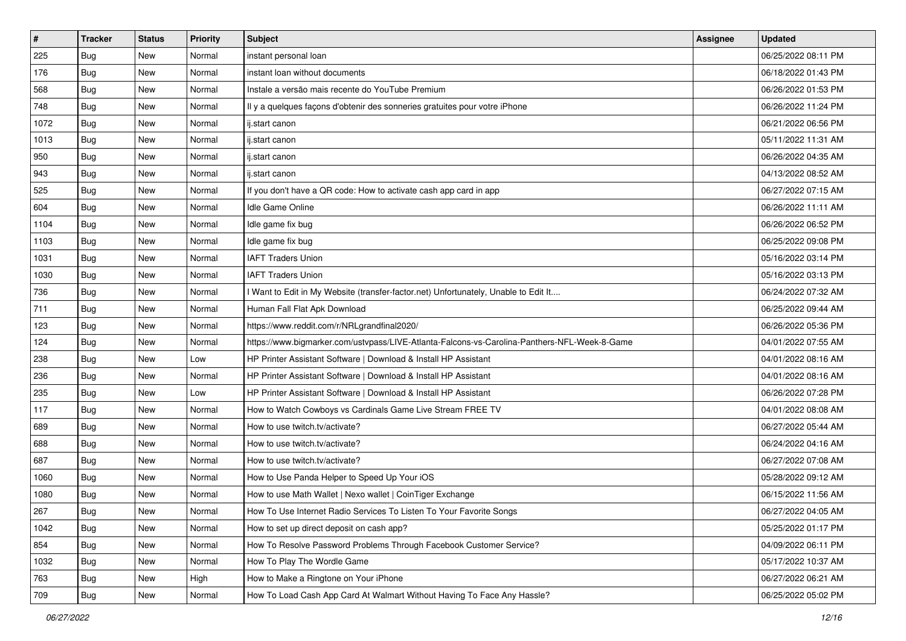| $\vert$ # | <b>Tracker</b> | <b>Status</b> | <b>Priority</b> | Subject                                                                                      | <b>Assignee</b> | <b>Updated</b>      |
|-----------|----------------|---------------|-----------------|----------------------------------------------------------------------------------------------|-----------------|---------------------|
| 225       | <b>Bug</b>     | New           | Normal          | instant personal loan                                                                        |                 | 06/25/2022 08:11 PM |
| 176       | Bug            | New           | Normal          | instant loan without documents                                                               |                 | 06/18/2022 01:43 PM |
| 568       | Bug            | New           | Normal          | Instale a versão mais recente do YouTube Premium                                             |                 | 06/26/2022 01:53 PM |
| 748       | Bug            | New           | Normal          | Il y a quelques façons d'obtenir des sonneries gratuites pour votre iPhone                   |                 | 06/26/2022 11:24 PM |
| 1072      | Bug            | <b>New</b>    | Normal          | ij.start canon                                                                               |                 | 06/21/2022 06:56 PM |
| 1013      | Bug            | New           | Normal          | ij.start canon                                                                               |                 | 05/11/2022 11:31 AM |
| 950       | Bug            | New           | Normal          | ij.start canon                                                                               |                 | 06/26/2022 04:35 AM |
| 943       | <b>Bug</b>     | New           | Normal          | ij.start canon                                                                               |                 | 04/13/2022 08:52 AM |
| 525       | Bug            | New           | Normal          | If you don't have a QR code: How to activate cash app card in app                            |                 | 06/27/2022 07:15 AM |
| 604       | Bug            | New           | Normal          | <b>Idle Game Online</b>                                                                      |                 | 06/26/2022 11:11 AM |
| 1104      | Bug            | New           | Normal          | Idle game fix bug                                                                            |                 | 06/26/2022 06:52 PM |
| 1103      | Bug            | New           | Normal          | Idle game fix bug                                                                            |                 | 06/25/2022 09:08 PM |
| 1031      | Bug            | New           | Normal          | <b>IAFT Traders Union</b>                                                                    |                 | 05/16/2022 03:14 PM |
| 1030      | <b>Bug</b>     | New           | Normal          | <b>IAFT Traders Union</b>                                                                    |                 | 05/16/2022 03:13 PM |
| 736       | <b>Bug</b>     | New           | Normal          | Want to Edit in My Website (transfer-factor.net) Unfortunately, Unable to Edit It            |                 | 06/24/2022 07:32 AM |
| 711       | Bug            | New           | Normal          | Human Fall Flat Apk Download                                                                 |                 | 06/25/2022 09:44 AM |
| 123       | <b>Bug</b>     | New           | Normal          | https://www.reddit.com/r/NRLgrandfinal2020/                                                  |                 | 06/26/2022 05:36 PM |
| 124       | Bug            | New           | Normal          | https://www.bigmarker.com/ustvpass/LIVE-Atlanta-Falcons-vs-Carolina-Panthers-NFL-Week-8-Game |                 | 04/01/2022 07:55 AM |
| 238       | Bug            | New           | Low             | HP Printer Assistant Software   Download & Install HP Assistant                              |                 | 04/01/2022 08:16 AM |
| 236       | <b>Bug</b>     | New           | Normal          | HP Printer Assistant Software   Download & Install HP Assistant                              |                 | 04/01/2022 08:16 AM |
| 235       | <b>Bug</b>     | New           | Low             | HP Printer Assistant Software   Download & Install HP Assistant                              |                 | 06/26/2022 07:28 PM |
| 117       | Bug            | New           | Normal          | How to Watch Cowboys vs Cardinals Game Live Stream FREE TV                                   |                 | 04/01/2022 08:08 AM |
| 689       | Bug            | New           | Normal          | How to use twitch.tv/activate?                                                               |                 | 06/27/2022 05:44 AM |
| 688       | <b>Bug</b>     | New           | Normal          | How to use twitch.tv/activate?                                                               |                 | 06/24/2022 04:16 AM |
| 687       | Bug            | New           | Normal          | How to use twitch.tv/activate?                                                               |                 | 06/27/2022 07:08 AM |
| 1060      | Bug            | New           | Normal          | How to Use Panda Helper to Speed Up Your iOS                                                 |                 | 05/28/2022 09:12 AM |
| 1080      | <b>Bug</b>     | New           | Normal          | How to use Math Wallet   Nexo wallet   CoinTiger Exchange                                    |                 | 06/15/2022 11:56 AM |
| 267       | <b>Bug</b>     | New           | Normal          | How To Use Internet Radio Services To Listen To Your Favorite Songs                          |                 | 06/27/2022 04:05 AM |
| 1042      | <b>Bug</b>     | New           | Normal          | How to set up direct deposit on cash app?                                                    |                 | 05/25/2022 01:17 PM |
| 854       | Bug            | New           | Normal          | How To Resolve Password Problems Through Facebook Customer Service?                          |                 | 04/09/2022 06:11 PM |
| 1032      | Bug            | New           | Normal          | How To Play The Wordle Game                                                                  |                 | 05/17/2022 10:37 AM |
| 763       | <b>Bug</b>     | New           | High            | How to Make a Ringtone on Your iPhone                                                        |                 | 06/27/2022 06:21 AM |
| 709       | Bug            | New           | Normal          | How To Load Cash App Card At Walmart Without Having To Face Any Hassle?                      |                 | 06/25/2022 05:02 PM |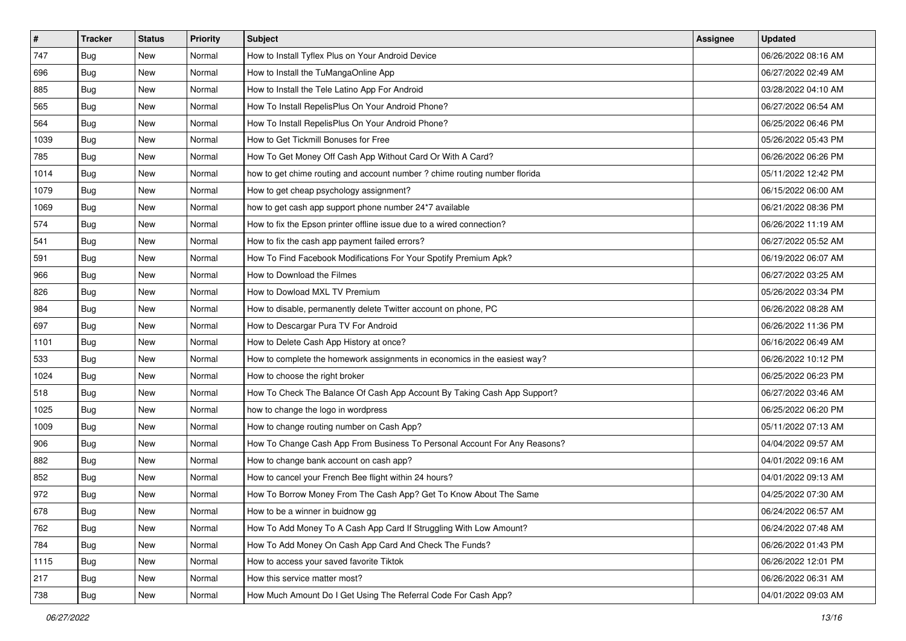| $\vert$ # | <b>Tracker</b> | <b>Status</b> | <b>Priority</b> | Subject                                                                    | Assignee | <b>Updated</b>      |
|-----------|----------------|---------------|-----------------|----------------------------------------------------------------------------|----------|---------------------|
| 747       | <b>Bug</b>     | New           | Normal          | How to Install Tyflex Plus on Your Android Device                          |          | 06/26/2022 08:16 AM |
| 696       | <b>Bug</b>     | New           | Normal          | How to Install the TuMangaOnline App                                       |          | 06/27/2022 02:49 AM |
| 885       | Bug            | New           | Normal          | How to Install the Tele Latino App For Android                             |          | 03/28/2022 04:10 AM |
| 565       | Bug            | New           | Normal          | How To Install RepelisPlus On Your Android Phone?                          |          | 06/27/2022 06:54 AM |
| 564       | Bug            | <b>New</b>    | Normal          | How To Install RepelisPlus On Your Android Phone?                          |          | 06/25/2022 06:46 PM |
| 1039      | <b>Bug</b>     | New           | Normal          | How to Get Tickmill Bonuses for Free                                       |          | 05/26/2022 05:43 PM |
| 785       | Bug            | <b>New</b>    | Normal          | How To Get Money Off Cash App Without Card Or With A Card?                 |          | 06/26/2022 06:26 PM |
| 1014      | <b>Bug</b>     | New           | Normal          | how to get chime routing and account number ? chime routing number florida |          | 05/11/2022 12:42 PM |
| 1079      | <b>Bug</b>     | New           | Normal          | How to get cheap psychology assignment?                                    |          | 06/15/2022 06:00 AM |
| 1069      | Bug            | <b>New</b>    | Normal          | how to get cash app support phone number 24*7 available                    |          | 06/21/2022 08:36 PM |
| 574       | <b>Bug</b>     | New           | Normal          | How to fix the Epson printer offline issue due to a wired connection?      |          | 06/26/2022 11:19 AM |
| 541       | Bug            | New           | Normal          | How to fix the cash app payment failed errors?                             |          | 06/27/2022 05:52 AM |
| 591       | <b>Bug</b>     | New           | Normal          | How To Find Facebook Modifications For Your Spotify Premium Apk?           |          | 06/19/2022 06:07 AM |
| 966       | Bug            | New           | Normal          | How to Download the Filmes                                                 |          | 06/27/2022 03:25 AM |
| 826       | <b>Bug</b>     | <b>New</b>    | Normal          | How to Dowload MXL TV Premium                                              |          | 05/26/2022 03:34 PM |
| 984       | Bug            | New           | Normal          | How to disable, permanently delete Twitter account on phone, PC            |          | 06/26/2022 08:28 AM |
| 697       | <b>Bug</b>     | New           | Normal          | How to Descargar Pura TV For Android                                       |          | 06/26/2022 11:36 PM |
| 1101      | <b>Bug</b>     | <b>New</b>    | Normal          | How to Delete Cash App History at once?                                    |          | 06/16/2022 06:49 AM |
| 533       | Bug            | New           | Normal          | How to complete the homework assignments in economics in the easiest way?  |          | 06/26/2022 10:12 PM |
| 1024      | <b>Bug</b>     | <b>New</b>    | Normal          | How to choose the right broker                                             |          | 06/25/2022 06:23 PM |
| 518       | <b>Bug</b>     | New           | Normal          | How To Check The Balance Of Cash App Account By Taking Cash App Support?   |          | 06/27/2022 03:46 AM |
| 1025      | <b>Bug</b>     | New           | Normal          | how to change the logo in wordpress                                        |          | 06/25/2022 06:20 PM |
| 1009      | Bug            | <b>New</b>    | Normal          | How to change routing number on Cash App?                                  |          | 05/11/2022 07:13 AM |
| 906       | <b>Bug</b>     | New           | Normal          | How To Change Cash App From Business To Personal Account For Any Reasons?  |          | 04/04/2022 09:57 AM |
| 882       | Bug            | New           | Normal          | How to change bank account on cash app?                                    |          | 04/01/2022 09:16 AM |
| 852       | Bug            | New           | Normal          | How to cancel your French Bee flight within 24 hours?                      |          | 04/01/2022 09:13 AM |
| 972       | <b>Bug</b>     | New           | Normal          | How To Borrow Money From The Cash App? Get To Know About The Same          |          | 04/25/2022 07:30 AM |
| 678       | i Bug          | New           | Normal          | How to be a winner in buidnow gg                                           |          | 06/24/2022 06:57 AM |
| 762       | Bug            | New           | Normal          | How To Add Money To A Cash App Card If Struggling With Low Amount?         |          | 06/24/2022 07:48 AM |
| 784       | Bug            | New           | Normal          | How To Add Money On Cash App Card And Check The Funds?                     |          | 06/26/2022 01:43 PM |
| 1115      | <b>Bug</b>     | New           | Normal          | How to access your saved favorite Tiktok                                   |          | 06/26/2022 12:01 PM |
| 217       | <b>Bug</b>     | New           | Normal          | How this service matter most?                                              |          | 06/26/2022 06:31 AM |
| 738       | <b>Bug</b>     | New           | Normal          | How Much Amount Do I Get Using The Referral Code For Cash App?             |          | 04/01/2022 09:03 AM |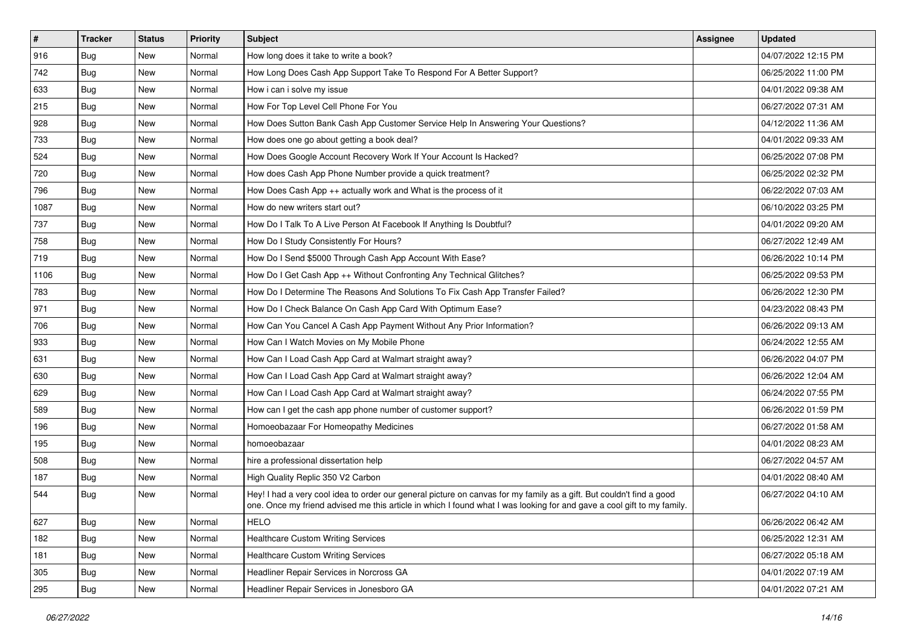| $\vert$ # | <b>Tracker</b> | <b>Status</b> | <b>Priority</b> | Subject                                                                                                                                                                                                                                        | <b>Assignee</b> | <b>Updated</b>      |
|-----------|----------------|---------------|-----------------|------------------------------------------------------------------------------------------------------------------------------------------------------------------------------------------------------------------------------------------------|-----------------|---------------------|
| 916       | <b>Bug</b>     | New           | Normal          | How long does it take to write a book?                                                                                                                                                                                                         |                 | 04/07/2022 12:15 PM |
| 742       | Bug            | <b>New</b>    | Normal          | How Long Does Cash App Support Take To Respond For A Better Support?                                                                                                                                                                           |                 | 06/25/2022 11:00 PM |
| 633       | Bug            | <b>New</b>    | Normal          | How i can i solve my issue                                                                                                                                                                                                                     |                 | 04/01/2022 09:38 AM |
| 215       | <b>Bug</b>     | <b>New</b>    | Normal          | How For Top Level Cell Phone For You                                                                                                                                                                                                           |                 | 06/27/2022 07:31 AM |
| 928       | Bug            | <b>New</b>    | Normal          | How Does Sutton Bank Cash App Customer Service Help In Answering Your Questions?                                                                                                                                                               |                 | 04/12/2022 11:36 AM |
| 733       | Bug            | <b>New</b>    | Normal          | How does one go about getting a book deal?                                                                                                                                                                                                     |                 | 04/01/2022 09:33 AM |
| 524       | Bug            | <b>New</b>    | Normal          | How Does Google Account Recovery Work If Your Account Is Hacked?                                                                                                                                                                               |                 | 06/25/2022 07:08 PM |
| 720       | Bug            | <b>New</b>    | Normal          | How does Cash App Phone Number provide a quick treatment?                                                                                                                                                                                      |                 | 06/25/2022 02:32 PM |
| 796       | <b>Bug</b>     | <b>New</b>    | Normal          | How Does Cash App ++ actually work and What is the process of it                                                                                                                                                                               |                 | 06/22/2022 07:03 AM |
| 1087      | Bug            | New           | Normal          | How do new writers start out?                                                                                                                                                                                                                  |                 | 06/10/2022 03:25 PM |
| 737       | Bug            | <b>New</b>    | Normal          | How Do I Talk To A Live Person At Facebook If Anything Is Doubtful?                                                                                                                                                                            |                 | 04/01/2022 09:20 AM |
| 758       | Bug            | <b>New</b>    | Normal          | How Do I Study Consistently For Hours?                                                                                                                                                                                                         |                 | 06/27/2022 12:49 AM |
| 719       | Bug            | <b>New</b>    | Normal          | How Do I Send \$5000 Through Cash App Account With Ease?                                                                                                                                                                                       |                 | 06/26/2022 10:14 PM |
| 1106      | <b>Bug</b>     | New           | Normal          | How Do I Get Cash App ++ Without Confronting Any Technical Glitches?                                                                                                                                                                           |                 | 06/25/2022 09:53 PM |
| 783       | Bug            | <b>New</b>    | Normal          | How Do I Determine The Reasons And Solutions To Fix Cash App Transfer Failed?                                                                                                                                                                  |                 | 06/26/2022 12:30 PM |
| 971       | Bug            | <b>New</b>    | Normal          | How Do I Check Balance On Cash App Card With Optimum Ease?                                                                                                                                                                                     |                 | 04/23/2022 08:43 PM |
| 706       | <b>Bug</b>     | <b>New</b>    | Normal          | How Can You Cancel A Cash App Payment Without Any Prior Information?                                                                                                                                                                           |                 | 06/26/2022 09:13 AM |
| 933       | Bug            | New           | Normal          | How Can I Watch Movies on My Mobile Phone                                                                                                                                                                                                      |                 | 06/24/2022 12:55 AM |
| 631       | Bug            | <b>New</b>    | Normal          | How Can I Load Cash App Card at Walmart straight away?                                                                                                                                                                                         |                 | 06/26/2022 04:07 PM |
| 630       | <b>Bug</b>     | <b>New</b>    | Normal          | How Can I Load Cash App Card at Walmart straight away?                                                                                                                                                                                         |                 | 06/26/2022 12:04 AM |
| 629       | <b>Bug</b>     | <b>New</b>    | Normal          | How Can I Load Cash App Card at Walmart straight away?                                                                                                                                                                                         |                 | 06/24/2022 07:55 PM |
| 589       | <b>Bug</b>     | New           | Normal          | How can I get the cash app phone number of customer support?                                                                                                                                                                                   |                 | 06/26/2022 01:59 PM |
| 196       | Bug            | New           | Normal          | Homoeobazaar For Homeopathy Medicines                                                                                                                                                                                                          |                 | 06/27/2022 01:58 AM |
| 195       | Bug            | <b>New</b>    | Normal          | homoeobazaar                                                                                                                                                                                                                                   |                 | 04/01/2022 08:23 AM |
| 508       | Bug            | New           | Normal          | hire a professional dissertation help                                                                                                                                                                                                          |                 | 06/27/2022 04:57 AM |
| 187       | Bug            | New           | Normal          | High Quality Replic 350 V2 Carbon                                                                                                                                                                                                              |                 | 04/01/2022 08:40 AM |
| 544       | <b>Bug</b>     | <b>New</b>    | Normal          | Hey! I had a very cool idea to order our general picture on canvas for my family as a gift. But couldn't find a good<br>one. Once my friend advised me this article in which I found what I was looking for and gave a cool gift to my family. |                 | 06/27/2022 04:10 AM |
| 627       | <b>Bug</b>     | New           | Normal          | <b>HELO</b>                                                                                                                                                                                                                                    |                 | 06/26/2022 06:42 AM |
| 182       | Bug            | New           | Normal          | <b>Healthcare Custom Writing Services</b>                                                                                                                                                                                                      |                 | 06/25/2022 12:31 AM |
| 181       | Bug            | New           | Normal          | <b>Healthcare Custom Writing Services</b>                                                                                                                                                                                                      |                 | 06/27/2022 05:18 AM |
| 305       | Bug            | New           | Normal          | Headliner Repair Services in Norcross GA                                                                                                                                                                                                       |                 | 04/01/2022 07:19 AM |
| 295       | <b>Bug</b>     | New           | Normal          | Headliner Repair Services in Jonesboro GA                                                                                                                                                                                                      |                 | 04/01/2022 07:21 AM |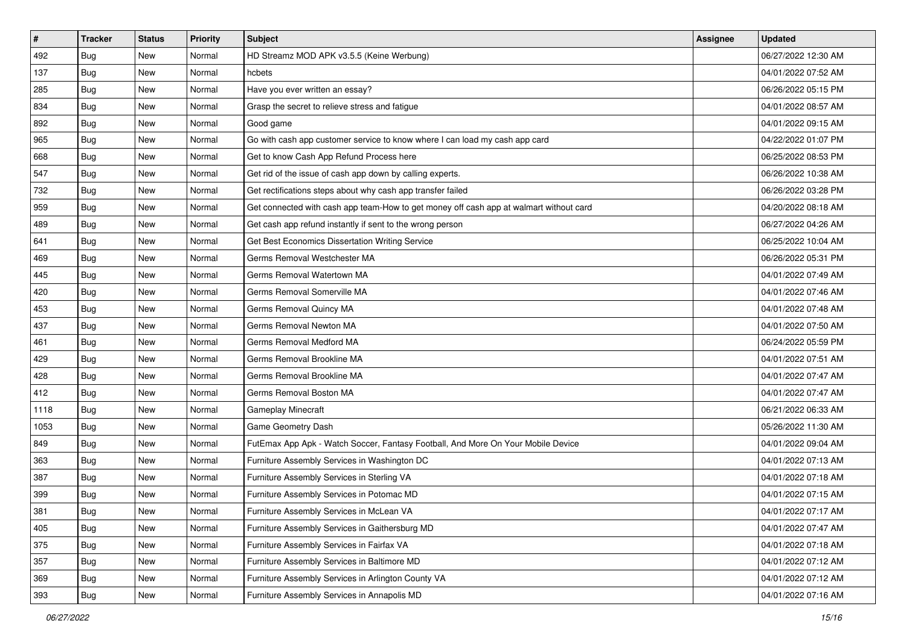| $\sharp$ | <b>Tracker</b> | <b>Status</b> | <b>Priority</b> | Subject                                                                                | Assignee | <b>Updated</b>      |
|----------|----------------|---------------|-----------------|----------------------------------------------------------------------------------------|----------|---------------------|
| 492      | Bug            | New           | Normal          | HD Streamz MOD APK v3.5.5 (Keine Werbung)                                              |          | 06/27/2022 12:30 AM |
| 137      | <b>Bug</b>     | New           | Normal          | hcbets                                                                                 |          | 04/01/2022 07:52 AM |
| 285      | Bug            | New           | Normal          | Have you ever written an essay?                                                        |          | 06/26/2022 05:15 PM |
| 834      | <b>Bug</b>     | <b>New</b>    | Normal          | Grasp the secret to relieve stress and fatigue                                         |          | 04/01/2022 08:57 AM |
| 892      | Bug            | New           | Normal          | Good game                                                                              |          | 04/01/2022 09:15 AM |
| 965      | Bug            | <b>New</b>    | Normal          | Go with cash app customer service to know where I can load my cash app card            |          | 04/22/2022 01:07 PM |
| 668      | Bug            | <b>New</b>    | Normal          | Get to know Cash App Refund Process here                                               |          | 06/25/2022 08:53 PM |
| 547      | <b>Bug</b>     | New           | Normal          | Get rid of the issue of cash app down by calling experts.                              |          | 06/26/2022 10:38 AM |
| 732      | <b>Bug</b>     | New           | Normal          | Get rectifications steps about why cash app transfer failed                            |          | 06/26/2022 03:28 PM |
| 959      | Bug            | New           | Normal          | Get connected with cash app team-How to get money off cash app at walmart without card |          | 04/20/2022 08:18 AM |
| 489      | <b>Bug</b>     | New           | Normal          | Get cash app refund instantly if sent to the wrong person                              |          | 06/27/2022 04:26 AM |
| 641      | Bug            | New           | Normal          | Get Best Economics Dissertation Writing Service                                        |          | 06/25/2022 10:04 AM |
| 469      | Bug            | New           | Normal          | Germs Removal Westchester MA                                                           |          | 06/26/2022 05:31 PM |
| 445      | Bug            | New           | Normal          | Germs Removal Watertown MA                                                             |          | 04/01/2022 07:49 AM |
| 420      | <b>Bug</b>     | <b>New</b>    | Normal          | Germs Removal Somerville MA                                                            |          | 04/01/2022 07:46 AM |
| 453      | Bug            | New           | Normal          | Germs Removal Quincy MA                                                                |          | 04/01/2022 07:48 AM |
| 437      | <b>Bug</b>     | <b>New</b>    | Normal          | Germs Removal Newton MA                                                                |          | 04/01/2022 07:50 AM |
| 461      | Bug            | New           | Normal          | Germs Removal Medford MA                                                               |          | 06/24/2022 05:59 PM |
| 429      | Bug            | New           | Normal          | Germs Removal Brookline MA                                                             |          | 04/01/2022 07:51 AM |
| 428      | <b>Bug</b>     | New           | Normal          | Germs Removal Brookline MA                                                             |          | 04/01/2022 07:47 AM |
| 412      | <b>Bug</b>     | New           | Normal          | Germs Removal Boston MA                                                                |          | 04/01/2022 07:47 AM |
| 1118     | <b>Bug</b>     | <b>New</b>    | Normal          | Gameplay Minecraft                                                                     |          | 06/21/2022 06:33 AM |
| 1053     | Bug            | New           | Normal          | Game Geometry Dash                                                                     |          | 05/26/2022 11:30 AM |
| 849      | <b>Bug</b>     | New           | Normal          | FutEmax App Apk - Watch Soccer, Fantasy Football, And More On Your Mobile Device       |          | 04/01/2022 09:04 AM |
| 363      | Bug            | New           | Normal          | Furniture Assembly Services in Washington DC                                           |          | 04/01/2022 07:13 AM |
| 387      | <b>Bug</b>     | New           | Normal          | Furniture Assembly Services in Sterling VA                                             |          | 04/01/2022 07:18 AM |
| 399      | <b>Bug</b>     | New           | Normal          | Furniture Assembly Services in Potomac MD                                              |          | 04/01/2022 07:15 AM |
| 381      | i Bug          | New           | Normal          | Furniture Assembly Services in McLean VA                                               |          | 04/01/2022 07:17 AM |
| 405      | Bug            | New           | Normal          | Furniture Assembly Services in Gaithersburg MD                                         |          | 04/01/2022 07:47 AM |
| 375      | Bug            | New           | Normal          | Furniture Assembly Services in Fairfax VA                                              |          | 04/01/2022 07:18 AM |
| 357      | <b>Bug</b>     | New           | Normal          | Furniture Assembly Services in Baltimore MD                                            |          | 04/01/2022 07:12 AM |
| 369      | Bug            | New           | Normal          | Furniture Assembly Services in Arlington County VA                                     |          | 04/01/2022 07:12 AM |
| 393      | Bug            | New           | Normal          | Furniture Assembly Services in Annapolis MD                                            |          | 04/01/2022 07:16 AM |